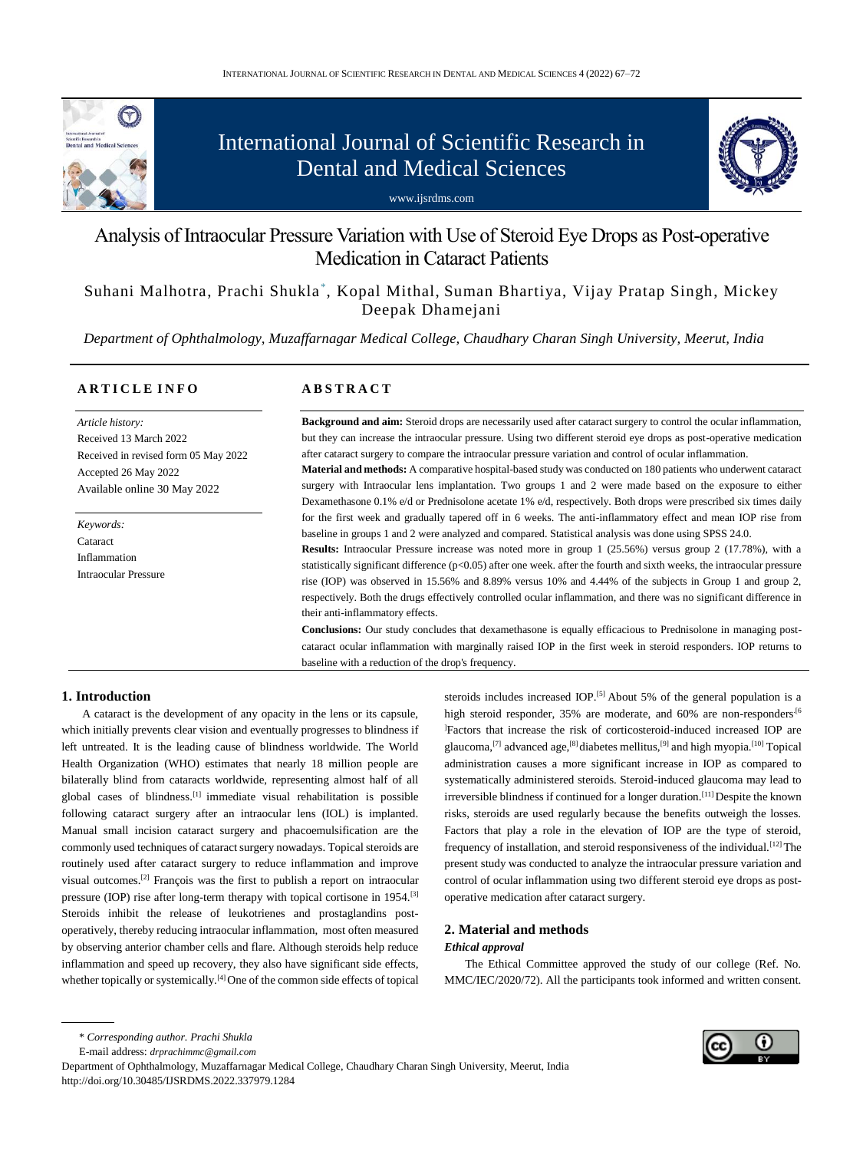

# International Journal of Scientific Research in Dental and Medical Sciences





## Analysis of Intraocular Pressure Variation with Use of Steroid Eye Drops as Post-operative Medication in Cataract Patients

Suhani Malhotra, Prachi Shukla\*, Kopal Mithal, Suman Bhartiya, Vijay Pratap Singh, Mickey Deepak Dhamejani

 *Department of Ophthalmology, Muzaffarnagar Medical College, Chaudhary Charan Singh University, Meerut, India*

### **A R T I C L E I N F O**

*Article history:* Received 13 March 2022 Received in revised form 05 May 2022 Accepted 26 May 2022 Available online 30 May 2022

*Keywords:* Cataract Inflammation Intraocular Pressure

### **A B S T R A C T**

**Background and aim:** Steroid drops are necessarily used after cataract surgery to control the ocular inflammation, but they can increase the intraocular pressure. Using two different steroid eye drops as post-operative medication after cataract surgery to compare the intraocular pressure variation and control of ocular inflammation.

**Material and methods:** A comparative hospital-based study was conducted on 180 patients who underwent cataract surgery with Intraocular lens implantation. Two groups 1 and 2 were made based on the exposure to either Dexamethasone 0.1% e/d or Prednisolone acetate 1% e/d, respectively. Both drops were prescribed six times daily for the first week and gradually tapered off in 6 weeks. The anti-inflammatory effect and mean IOP rise from baseline in groups 1 and 2 were analyzed and compared. Statistical analysis was done using SPSS 24.0.

**Results:** Intraocular Pressure increase was noted more in group 1 (25.56%) versus group 2 (17.78%), with a statistically significant difference (p<0.05) after one week. after the fourth and sixth weeks, the intraocular pressure rise (IOP) was observed in 15.56% and 8.89% versus 10% and 4.44% of the subjects in Group 1 and group 2, respectively. Both the drugs effectively controlled ocular inflammation, and there was no significant difference in their anti-inflammatory effects.

**Conclusions:** Our study concludes that dexamethasone is equally efficacious to Prednisolone in managing postcataract ocular inflammation with marginally raised IOP in the first week in steroid responders. IOP returns to baseline with a reduction of the drop's frequency.

### **1. Introduction**

A cataract is the development of any opacity in the lens or its capsule, which initially prevents clear vision and eventually progresses to blindness if left untreated. It is the leading cause of blindness worldwide. The World Health Organization (WHO) estimates that nearly 18 million people are bilaterally blind from cataracts worldwide, representing almost half of all global cases of blindness.[1] immediate visual rehabilitation is possible following cataract surgery after an intraocular lens (IOL) is implanted. Manual small incision cataract surgery and phacoemulsification are the commonly used techniques of cataract surgery nowadays. Topical steroids are routinely used after cataract surgery to reduce inflammation and improve visual outcomes. [2] François was the first to publish a report on intraocular pressure (IOP) rise after long-term therapy with topical cortisone in 1954.<sup>[3]</sup> Steroids inhibit the release of leukotrienes and prostaglandins postoperatively, thereby reducing intraocular inflammation, most often measured by observing anterior chamber cells and flare. Although steroids help reduce inflammation and speed up recovery, they also have significant side effects, whether topically or systemically.<sup>[4]</sup> One of the common side effects of topical

steroids includes increased IOP.<sup>[5]</sup> About 5% of the general population is a high steroid responder, 35% are moderate, and 60% are non-responders.<sup>[6]</sup> ]Factors that increase the risk of corticosteroid-induced increased IOP are glaucoma,<sup>[7]</sup> advanced age,<sup>[8]</sup> diabetes mellitus,<sup>[9]</sup> and high myopia.<sup>[10]</sup> Topical administration causes a more significant increase in IOP as compared to systematically administered steroids. Steroid-induced glaucoma may lead to irreversible blindness if continued for a longer duration.<sup>[11]</sup>Despite the known risks, steroids are used regularly because the benefits outweigh the losses. Factors that play a role in the elevation of IOP are the type of steroid, frequency of installation, and steroid responsiveness of the individual.<sup>[12]</sup>The present study was conducted to analyze the intraocular pressure variation and control of ocular inflammation using two different steroid eye drops as postoperative medication after cataract surgery.

### **2. Material and methods** *Ethical approval*

The Ethical Committee approved the study of our college (Ref. No. MMC/IEC/2020/72). All the participants took informed and written consent.

\* *Corresponding author. Prachi Shukla*

E-mail address: *[drprachimmc@gmail.com](mailto:drprachimmc@gmail.com)*

Department of Ophthalmology, Muzaffarnagar Medical College, Chaudhary Charan Singh University, Meerut, India http://doi.org/10.30485/IJSRDMS.2022.337979.1284

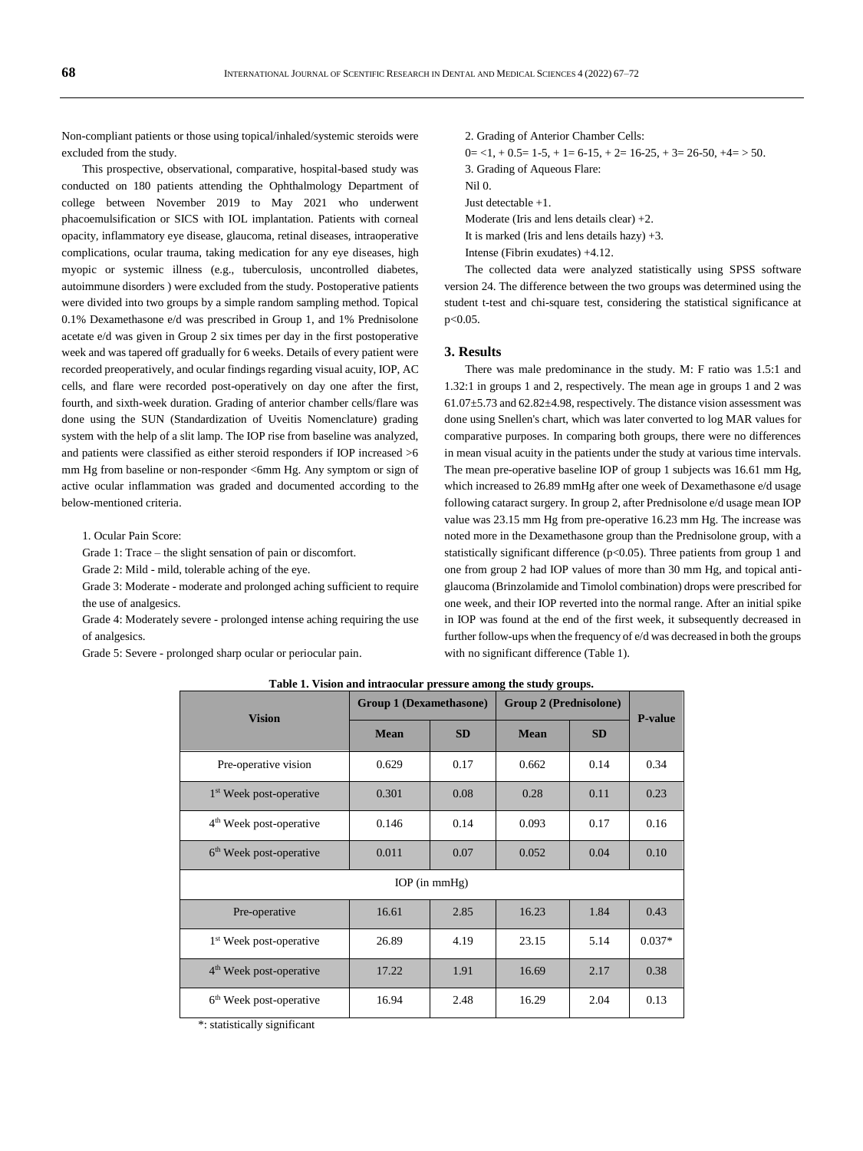Non-compliant patients or those using topical/inhaled/systemic steroids were excluded from the study.

This prospective, observational, comparative, hospital-based study was conducted on 180 patients attending the Ophthalmology Department of college between November 2019 to May 2021 who underwent phacoemulsification or SICS with IOL implantation. Patients with corneal opacity, inflammatory eye disease, glaucoma, retinal diseases, intraoperative complications, ocular trauma, taking medication for any eye diseases, high myopic or systemic illness (e.g., tuberculosis, uncontrolled diabetes, autoimmune disorders ) were excluded from the study. Postoperative patients were divided into two groups by a simple random sampling method. Topical 0.1% Dexamethasone e/d was prescribed in Group 1, and 1% Prednisolone acetate e/d was given in Group 2 six times per day in the first postoperative week and was tapered off gradually for 6 weeks. Details of every patient were recorded preoperatively, and ocular findings regarding visual acuity, IOP, AC cells, and flare were recorded post-operatively on day one after the first, fourth, and sixth-week duration. Grading of anterior chamber cells/flare was done using the SUN (Standardization of Uveitis Nomenclature) grading system with the help of a slit lamp. The IOP rise from baseline was analyzed, and patients were classified as either steroid responders if IOP increased >6 mm Hg from baseline or non-responder <6mm Hg. Any symptom or sign of active ocular inflammation was graded and documented according to the below-mentioned criteria.

1. Ocular Pain Score:

Grade 1: Trace – the slight sensation of pain or discomfort.

Grade 2: Mild - mild, tolerable aching of the eye.

Grade 3: Moderate - moderate and prolonged aching sufficient to require the use of analgesics.

Grade 4: Moderately severe - prolonged intense aching requiring the use of analgesics.

Grade 5: Severe - prolonged sharp ocular or periocular pain.

2. Grading of Anterior Chamber Cells:  $0 = 1, +0.5 = 1.5, +1 = 6.15, +2 = 16.25, +3 = 26.50, +4 = 50.$ 3. Grading of Aqueous Flare: Nil 0. Just detectable +1. Moderate (Iris and lens details clear) +2. It is marked (Iris and lens details hazy) +3. Intense (Fibrin exudates) +4.12.

The collected data were analyzed statistically using SPSS software version 24. The difference between the two groups was determined using the student t-test and chi-square test, considering the statistical significance at  $p < 0.05$ .

### **3. Results**

There was male predominance in the study. M: F ratio was 1.5:1 and 1.32:1 in groups 1 and 2, respectively. The mean age in groups 1 and 2 was  $61.07\pm5.73$  and  $62.82\pm4.98$ , respectively. The distance vision assessment was done using Snellen's chart, which was later converted to log MAR values for comparative purposes. In comparing both groups, there were no differences in mean visual acuity in the patients under the study at various time intervals. The mean pre-operative baseline IOP of group 1 subjects was 16.61 mm Hg, which increased to 26.89 mmHg after one week of Dexamethasone e/d usage following cataract surgery. In group 2, after Prednisolone e/d usage mean IOP value was 23.15 mm Hg from pre-operative 16.23 mm Hg. The increase was noted more in the Dexamethasone group than the Prednisolone group, with a statistically significant difference ( $p<0.05$ ). Three patients from group 1 and one from group 2 had IOP values of more than 30 mm Hg, and topical antiglaucoma (Brinzolamide and Timolol combination) drops were prescribed for one week, and their IOP reverted into the normal range. After an initial spike in IOP was found at the end of the first week, it subsequently decreased in further follow-ups when the frequency of e/d was decreased in both the groups with no significant difference (Table 1).

**Table 1. Vision and intraocular pressure among the study groups.**

| <b>Vision</b>                       | <b>Group 1 (Dexamethasone)</b> |           | <b>Group 2 (Prednisolone)</b> |           | <b>P-value</b> |  |  |
|-------------------------------------|--------------------------------|-----------|-------------------------------|-----------|----------------|--|--|
|                                     | <b>Mean</b>                    | <b>SD</b> | <b>Mean</b>                   | <b>SD</b> |                |  |  |
| Pre-operative vision                | 0.629                          | 0.17      | 0.662                         | 0.14      | 0.34           |  |  |
| 1 <sup>st</sup> Week post-operative | 0.301                          | 0.08      | 0.28                          | 0.11      | 0.23           |  |  |
| 4 <sup>th</sup> Week post-operative | 0.146                          | 0.14      | 0.093                         | 0.17      | 0.16           |  |  |
| 6 <sup>th</sup> Week post-operative | 0.011                          | 0.07      | 0.052                         | 0.04      | 0.10           |  |  |
| $IOP$ (in mmHg)                     |                                |           |                               |           |                |  |  |
| Pre-operative                       | 16.61                          | 2.85      | 16.23                         | 1.84      | 0.43           |  |  |
| 1 <sup>st</sup> Week post-operative | 26.89                          | 4.19      | 23.15                         | 5.14      | $0.037*$       |  |  |
| $4th$ Week post-operative           | 17.22                          | 1.91      | 16.69                         | 2.17      | 0.38           |  |  |
| 6 <sup>th</sup> Week post-operative | 16.94                          | 2.48      | 16.29                         | 2.04      | 0.13           |  |  |

\*: statistically significant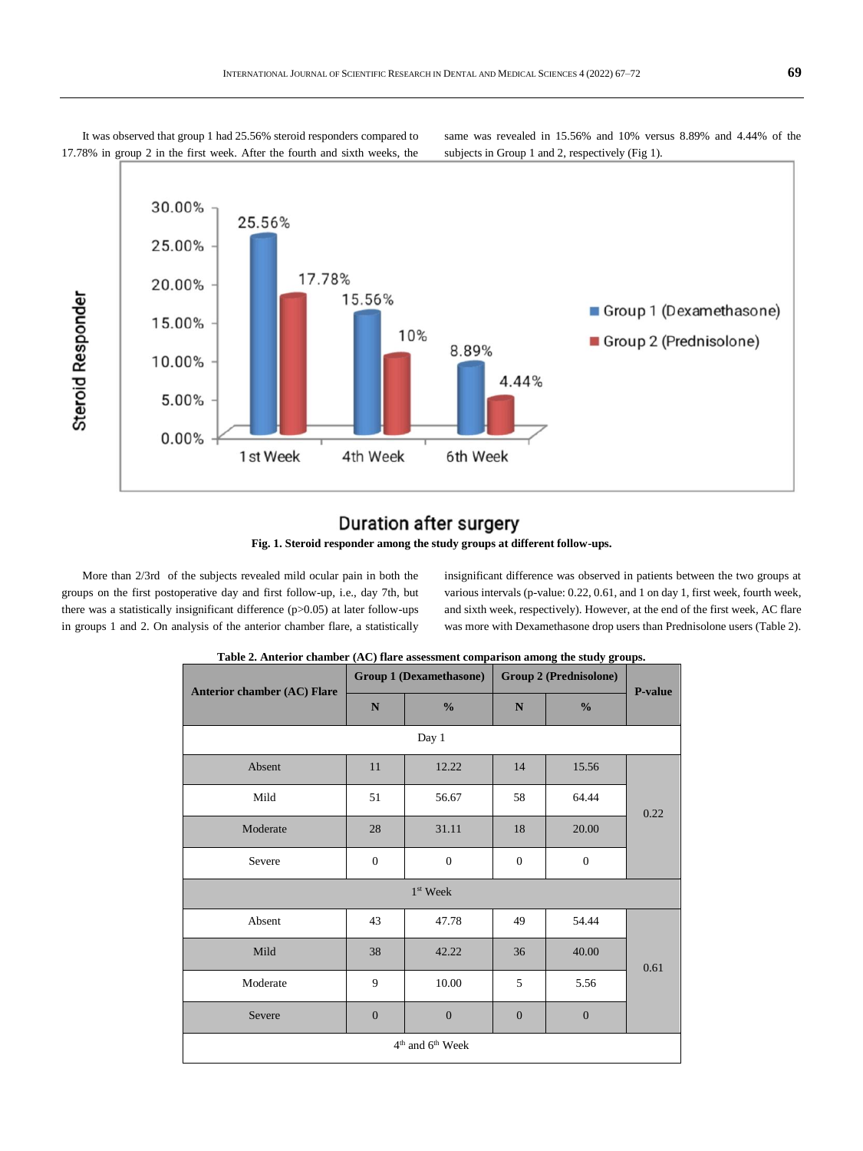It was observed that group 1 had 25.56% steroid responders compared to 17.78% in group 2 in the first week. After the fourth and sixth weeks, the same was revealed in 15.56% and 10% versus 8.89% and 4.44% of the subjects in Group 1 and 2, respectively (Fig 1).



### **Duration after surgery**



More than 2/3rd of the subjects revealed mild ocular pain in both the groups on the first postoperative day and first follow-up, i.e., day 7th, but there was a statistically insignificant difference (p>0.05) at later follow-ups in groups 1 and 2. On analysis of the anterior chamber flare, a statistically

insignificant difference was observed in patients between the two groups at various intervals (p-value: 0.22, 0.61, and 1 on day 1, first week, fourth week, and sixth week, respectively). However, at the end of the first week, AC flare was more with Dexamethasone drop users than Prednisolone users (Table 2).

| <b>Anterior chamber (AC) Flare</b> | <b>Group 1 (Dexamethasone)</b> |                  | <b>Group 2 (Prednisolone)</b> |                  | P-value |  |
|------------------------------------|--------------------------------|------------------|-------------------------------|------------------|---------|--|
|                                    | N                              | $\frac{0}{0}$    | N                             | $\frac{0}{0}$    |         |  |
|                                    |                                | Day 1            |                               |                  |         |  |
| Absent                             | 11                             | 12.22            | 14                            | 15.56            |         |  |
| Mild                               | 51                             | 56.67            | 58                            | 64.44            | 0.22    |  |
| Moderate                           | 28                             | 31.11            | 18                            | 20.00            |         |  |
| Severe                             | $\boldsymbol{0}$               | $\boldsymbol{0}$ | $\boldsymbol{0}$              | $\boldsymbol{0}$ |         |  |
| $1st$ Week                         |                                |                  |                               |                  |         |  |
| Absent                             | 43                             | 47.78            | 49                            | 54.44            |         |  |
| Mild                               | 38                             | 42.22            | 36                            | 40.00            | 0.61    |  |
| Moderate                           | 9                              | 10.00            | 5                             | 5.56             |         |  |
| Severe                             | $\overline{0}$                 | $\overline{0}$   | $\overline{0}$                | $\overline{0}$   |         |  |
| $4th$ and $6th$ Week               |                                |                  |                               |                  |         |  |

| Table 2. Anterior chamber (AC) flare assessment comparison among the study groups. |  |  |
|------------------------------------------------------------------------------------|--|--|
|                                                                                    |  |  |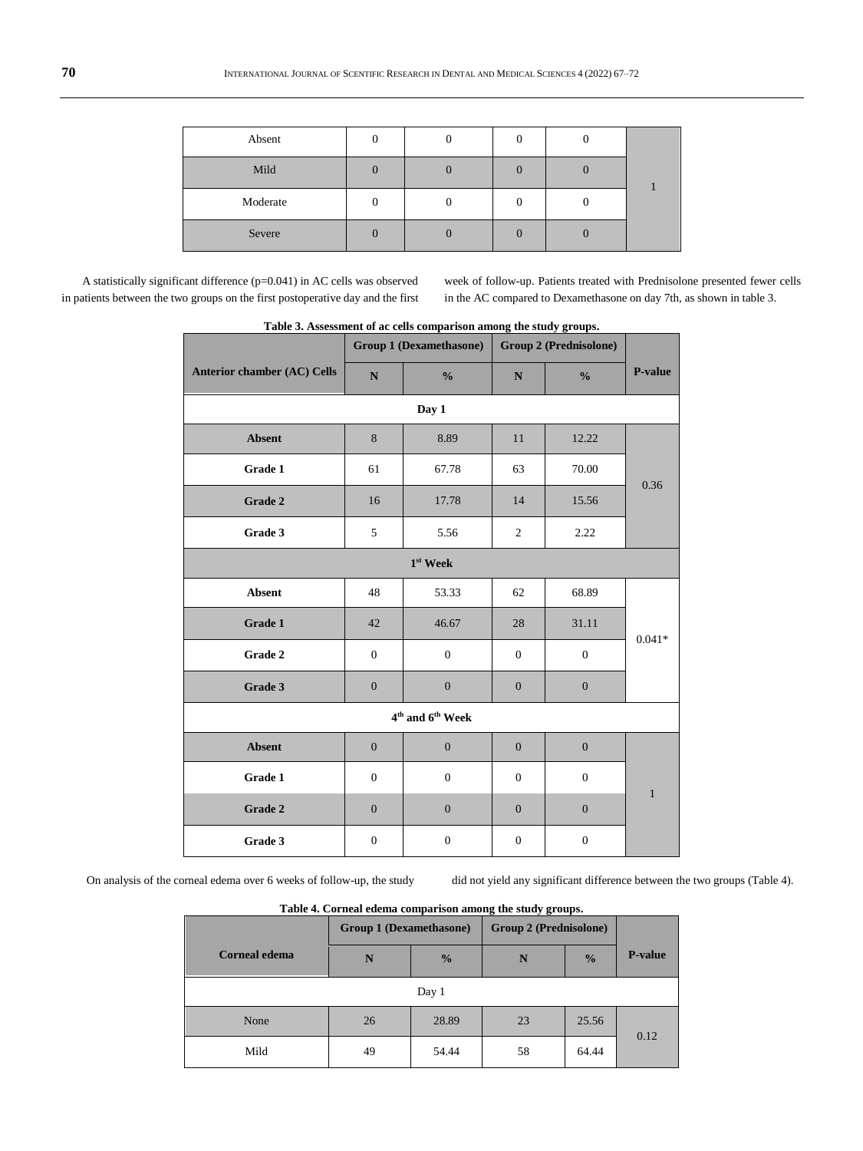| Absent   |  |  |  |
|----------|--|--|--|
| Mild     |  |  |  |
| Moderate |  |  |  |
| Severe   |  |  |  |

A statistically significant difference (p=0.041) in AC cells was observed in patients between the two groups on the first postoperative day and the first week of follow-up. Patients treated with Prednisolone presented fewer cells in the AC compared to Dexamethasone on day 7th, as shown in table 3.

|                                          | <b>Group 1 (Dexamethasone)</b> |                  | ---<br>$\cdots$ $\cdots$ $\cdots$ $\cdots$<br><b>Group 2 (Prednisolone)</b> |                  |              |  |  |
|------------------------------------------|--------------------------------|------------------|-----------------------------------------------------------------------------|------------------|--------------|--|--|
| <b>Anterior chamber (AC) Cells</b>       | ${\bf N}$                      | $\frac{0}{0}$    | ${\bf N}$                                                                   | $\frac{0}{0}$    | P-value      |  |  |
| Day 1                                    |                                |                  |                                                                             |                  |              |  |  |
| <b>Absent</b>                            | 8                              | 8.89             | 11                                                                          | 12.22            |              |  |  |
| Grade 1                                  | 61                             | 67.78            | 63                                                                          | 70.00            |              |  |  |
| Grade 2                                  | 16                             | 17.78            | 14                                                                          | 15.56            | 0.36         |  |  |
| Grade 3                                  | 5                              | 5.56             | $\overline{2}$                                                              | 2.22             |              |  |  |
| $1st$ Week                               |                                |                  |                                                                             |                  |              |  |  |
| <b>Absent</b>                            | 48                             | 53.33            | 62                                                                          | 68.89            | $0.041*$     |  |  |
| Grade 1                                  | 42                             | 46.67            | 28                                                                          | 31.11            |              |  |  |
| Grade 2                                  | $\boldsymbol{0}$               | $\boldsymbol{0}$ | $\boldsymbol{0}$                                                            | $\boldsymbol{0}$ |              |  |  |
| Grade 3                                  | $\boldsymbol{0}$               | $\boldsymbol{0}$ | $\boldsymbol{0}$                                                            | $\mathbf{0}$     |              |  |  |
| 4 <sup>th</sup> and 6 <sup>th</sup> Week |                                |                  |                                                                             |                  |              |  |  |
| <b>Absent</b>                            | $\mathbf{0}$                   | $\mathbf{0}$     | $\mathbf{0}$                                                                | $\mathbf{0}$     | $\mathbf{1}$ |  |  |
| Grade 1                                  | $\boldsymbol{0}$               | $\boldsymbol{0}$ | $\boldsymbol{0}$                                                            | $\boldsymbol{0}$ |              |  |  |
| Grade 2                                  | $\mathbf{0}$                   | $\boldsymbol{0}$ | $\overline{0}$                                                              | $\boldsymbol{0}$ |              |  |  |
| Grade 3                                  | $\mathbf{0}$                   | $\boldsymbol{0}$ | $\overline{0}$                                                              | $\boldsymbol{0}$ |              |  |  |

**Table 3. Assessment of ac cells comparison among the study groups.**

On analysis of the corneal edema over 6 weeks of follow-up, the study did not yield any significant difference between the two groups (Table 4).

| Table 4. Corneal edema comparison among the study groups. |                                |               |                               |               |                |  |
|-----------------------------------------------------------|--------------------------------|---------------|-------------------------------|---------------|----------------|--|
|                                                           | <b>Group 1 (Dexamethasone)</b> |               | <b>Group 2 (Prednisolone)</b> |               |                |  |
| <b>Corneal edema</b>                                      | N                              | $\frac{0}{0}$ | N                             | $\frac{0}{0}$ | <b>P-value</b> |  |
| Day 1                                                     |                                |               |                               |               |                |  |
| None                                                      | 26                             | 28.89         | 23                            | 25.56         | 0.12           |  |
| Mild                                                      | 49                             | 54.44         | 58                            | 64.44         |                |  |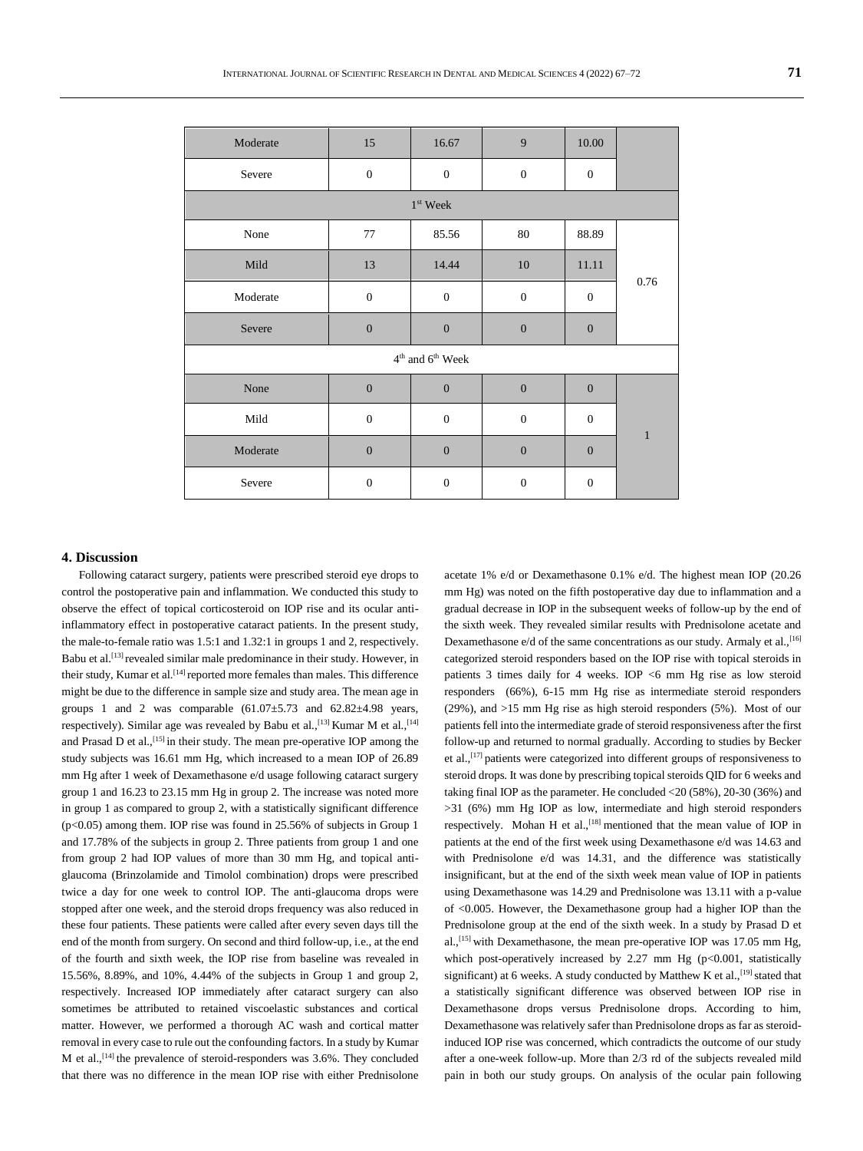| Moderate                           | 15               | 16.67            | 9                | 10.00            |              |  |
|------------------------------------|------------------|------------------|------------------|------------------|--------------|--|
| Severe                             | $\mathbf{0}$     | $\boldsymbol{0}$ | $\boldsymbol{0}$ | $\boldsymbol{0}$ |              |  |
|                                    |                  | $1st$ Week       |                  |                  |              |  |
| None                               | 77               | 85.56            | $80\,$           | 88.89            | 0.76         |  |
| Mild                               | 13               | 14.44            | 10               | 11.11            |              |  |
| Moderate                           | $\boldsymbol{0}$ | $\boldsymbol{0}$ | $\mathbf{0}$     | $\boldsymbol{0}$ |              |  |
| Severe                             | $\overline{0}$   | $\boldsymbol{0}$ | $\mathbf{0}$     | $\boldsymbol{0}$ |              |  |
| $4^{\rm th}$ and $6^{\rm th}$ Week |                  |                  |                  |                  |              |  |
| None                               | $\overline{0}$   | $\mathbf{0}$     | $\mathbf{0}$     | $\boldsymbol{0}$ |              |  |
| Mild                               | $\boldsymbol{0}$ | $\boldsymbol{0}$ | $\boldsymbol{0}$ | $\boldsymbol{0}$ |              |  |
| Moderate                           | $\boldsymbol{0}$ | $\boldsymbol{0}$ | $\mathbf{0}$     | $\boldsymbol{0}$ | $\mathbf{1}$ |  |
| Severe                             | $\boldsymbol{0}$ | $\boldsymbol{0}$ | $\boldsymbol{0}$ | $\boldsymbol{0}$ |              |  |

### **4. Discussion**

Following cataract surgery, patients were prescribed steroid eye drops to control the postoperative pain and inflammation. We conducted this study to observe the effect of topical corticosteroid on IOP rise and its ocular antiinflammatory effect in postoperative cataract patients. In the present study, the male-to-female ratio was 1.5:1 and 1.32:1 in groups 1 and 2, respectively. Babu et al.<sup>[13]</sup> revealed similar male predominance in their study. However, in their study, Kumar et al.<sup>[14]</sup> reported more females than males. This difference might be due to the difference in sample size and study area. The mean age in groups 1 and 2 was comparable  $(61.07 \pm 5.73$  and  $62.82 \pm 4.98$  years, respectively). Similar age was revealed by Babu et al.,<sup>[13]</sup> Kumar M et al.,<sup>[14]</sup> and Prasad D et al.,  $^{[15]}$  in their study. The mean pre-operative IOP among the study subjects was 16.61 mm Hg, which increased to a mean IOP of 26.89 mm Hg after 1 week of Dexamethasone e/d usage following cataract surgery group 1 and 16.23 to 23.15 mm Hg in group 2. The increase was noted more in group 1 as compared to group 2, with a statistically significant difference  $(p<0.05)$  among them. IOP rise was found in 25.56% of subjects in Group 1 and 17.78% of the subjects in group 2. Three patients from group 1 and one from group 2 had IOP values of more than 30 mm Hg, and topical antiglaucoma (Brinzolamide and Timolol combination) drops were prescribed twice a day for one week to control IOP. The anti-glaucoma drops were stopped after one week, and the steroid drops frequency was also reduced in these four patients. These patients were called after every seven days till the end of the month from surgery. On second and third follow-up, i.e., at the end of the fourth and sixth week, the IOP rise from baseline was revealed in 15.56%, 8.89%, and 10%, 4.44% of the subjects in Group 1 and group 2, respectively. Increased IOP immediately after cataract surgery can also sometimes be attributed to retained viscoelastic substances and cortical matter. However, we performed a thorough AC wash and cortical matter removal in every case to rule out the confounding factors. In a study by Kumar M et al.,<sup>[14]</sup> the prevalence of steroid-responders was 3.6%. They concluded that there was no difference in the mean IOP rise with either Prednisolone

acetate 1% e/d or Dexamethasone 0.1% e/d. The highest mean IOP (20.26 mm Hg) was noted on the fifth postoperative day due to inflammation and a gradual decrease in IOP in the subsequent weeks of follow-up by the end of the sixth week. They revealed similar results with Prednisolone acetate and Dexamethasone  $e/d$  of the same concentrations as our study. Armaly et al., [16] categorized steroid responders based on the IOP rise with topical steroids in patients 3 times daily for 4 weeks. IOP <6 mm Hg rise as low steroid responders (66%), 6-15 mm Hg rise as intermediate steroid responders (29%), and >15 mm Hg rise as high steroid responders (5%). Most of our patients fell into the intermediate grade of steroid responsiveness after the first follow-up and returned to normal gradually. According to studies by Becker et al.,[17] patients were categorized into different groups of responsiveness to steroid drops. It was done by prescribing topical steroids QID for 6 weeks and taking final IOP as the parameter. He concluded <20 (58%), 20-30 (36%) and >31 (6%) mm Hg IOP as low, intermediate and high steroid responders respectively. Mohan H et al.,<sup>[18]</sup> mentioned that the mean value of IOP in patients at the end of the first week using Dexamethasone e/d was 14.63 and with Prednisolone e/d was 14.31, and the difference was statistically insignificant, but at the end of the sixth week mean value of IOP in patients using Dexamethasone was 14.29 and Prednisolone was 13.11 with a p-value of <0.005. However, the Dexamethasone group had a higher IOP than the Prednisolone group at the end of the sixth week. In a study by Prasad D et al.,[15] with Dexamethasone, the mean pre-operative IOP was 17.05 mm Hg, which post-operatively increased by  $2.27$  mm Hg (p<0.001, statistically significant) at 6 weeks. A study conducted by Matthew K et al., [19] stated that a statistically significant difference was observed between IOP rise in Dexamethasone drops versus Prednisolone drops. According to him, Dexamethasone was relatively safer than Prednisolone drops as far as steroidinduced IOP rise was concerned, which contradicts the outcome of our study after a one-week follow-up. More than 2/3 rd of the subjects revealed mild pain in both our study groups. On analysis of the ocular pain following